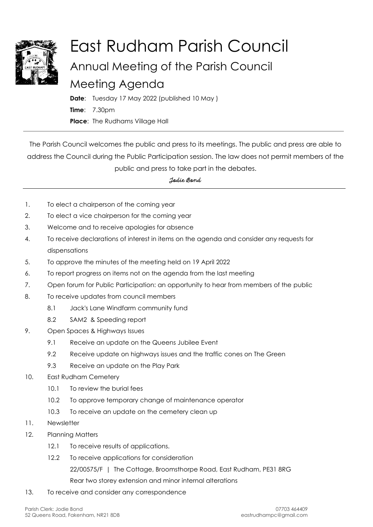

## East Rudham Parish Council Annual Meeting of the Parish Council Meeting Agenda

**Date**: Tuesday 17 May 2022 (published 10 May ) **Time**: 7.30pm **Place**: The Rudhams Village Hall

The Parish Council welcomes the public and press to its meetings. The public and press are able to address the Council during the Public Participation session. The law does not permit members of the public and press to take part in the debates.

*Jodie Bond*

- 1. To elect a chairperson of the coming year
- 2. To elect a vice chairperson for the coming year
- 3. Welcome and to receive apologies for absence
- 4. To receive declarations of interest in items on the agenda and consider any requests for dispensations
- 5. To approve the minutes of the meeting held on 19 April 2022
- 6. To report progress on items not on the agenda from the last meeting
- 7. Open forum for Public Participation: an opportunity to hear from members of the public
- 8. To receive updates from council members
	- 8.1 Jack's Lane Windfarm community fund
	- 8.2 SAM2 & Speeding report
- 9. Open Spaces & Highways Issues
	- 9.1 Receive an update on the Queens Jubilee Event
	- 9.2 Receive update on highways issues and the traffic cones on The Green
	- 9.3 Receive an update on the Play Park
- 10. East Rudham Cemetery
	- 10.1 To review the burial fees
	- 10.2 To approve temporary change of maintenance operator
	- 10.3 To receive an update on the cemetery clean up
- 11. Newsletter
- 12. Planning Matters
	- 12.1 To receive results of applications.
	- 12.2 To receive applications for consideration 22/00575/F | The Cottage, Broomsthorpe Road, East Rudham, PE31 8RG Rear two storey extension and minor internal alterations
- 13. To receive and consider any correspondence